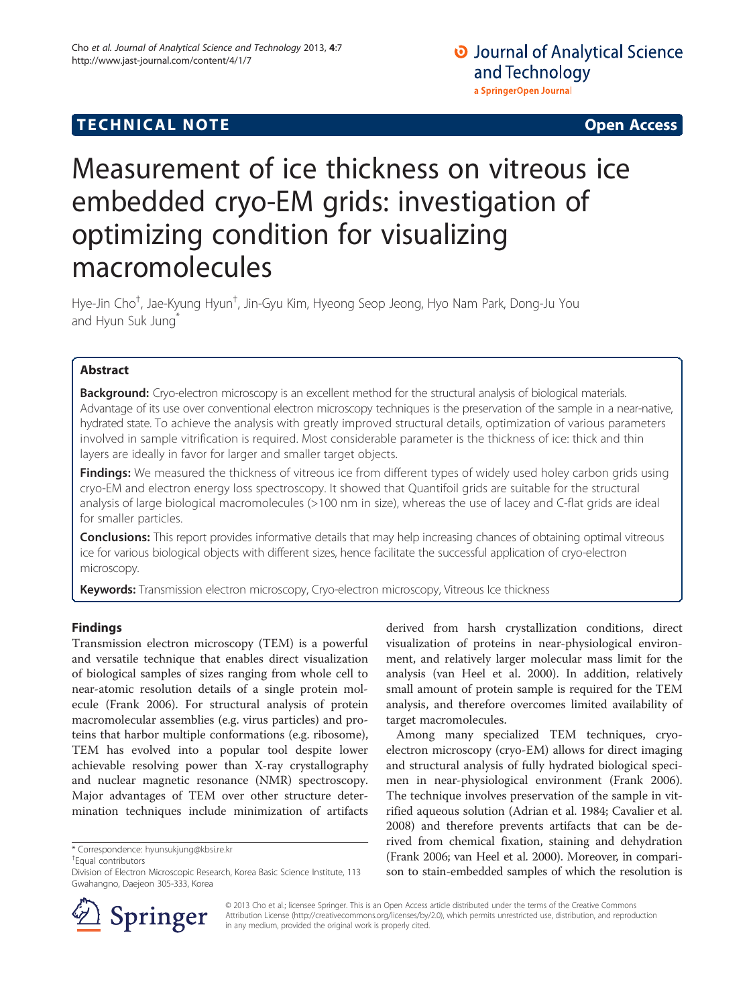# **TECHNICAL NOTE CONSIDERING ACCESS**

# Measurement of ice thickness on vitreous ice embedded cryo-EM grids: investigation of optimizing condition for visualizing macromolecules

Hye-Jin Cho<sup>†</sup>, Jae-Kyung Hyun<sup>†</sup>, Jin-Gyu Kim, Hyeong Seop Jeong, Hyo Nam Park, Dong-Ju You and Hyun Suk Jung

# Abstract

Background: Cryo-electron microscopy is an excellent method for the structural analysis of biological materials. Advantage of its use over conventional electron microscopy techniques is the preservation of the sample in a near-native, hydrated state. To achieve the analysis with greatly improved structural details, optimization of various parameters involved in sample vitrification is required. Most considerable parameter is the thickness of ice: thick and thin layers are ideally in favor for larger and smaller target objects.

Findings: We measured the thickness of vitreous ice from different types of widely used holey carbon grids using cryo-EM and electron energy loss spectroscopy. It showed that Quantifoil grids are suitable for the structural analysis of large biological macromolecules (>100 nm in size), whereas the use of lacey and C-flat grids are ideal for smaller particles.

**Conclusions:** This report provides informative details that may help increasing chances of obtaining optimal vitreous ice for various biological objects with different sizes, hence facilitate the successful application of cryo-electron microscopy.

Keywords: Transmission electron microscopy, Cryo-electron microscopy, Vitreous Ice thickness

# Findings

Transmission electron microscopy (TEM) is a powerful and versatile technique that enables direct visualization of biological samples of sizes ranging from whole cell to near-atomic resolution details of a single protein molecule (Frank [2006](#page-3-0)). For structural analysis of protein macromolecular assemblies (e.g. virus particles) and proteins that harbor multiple conformations (e.g. ribosome), TEM has evolved into a popular tool despite lower achievable resolving power than X-ray crystallography and nuclear magnetic resonance (NMR) spectroscopy. Major advantages of TEM over other structure determination techniques include minimization of artifacts

Equal contributors

derived from harsh crystallization conditions, direct visualization of proteins in near-physiological environment, and relatively larger molecular mass limit for the analysis (van Heel et al. [2000\)](#page-3-0). In addition, relatively small amount of protein sample is required for the TEM analysis, and therefore overcomes limited availability of target macromolecules.

Among many specialized TEM techniques, cryoelectron microscopy (cryo-EM) allows for direct imaging and structural analysis of fully hydrated biological specimen in near-physiological environment (Frank [2006](#page-3-0)). The technique involves preservation of the sample in vitrified aqueous solution (Adrian et al. [1984;](#page-3-0) Cavalier et al. [2008](#page-3-0)) and therefore prevents artifacts that can be derived from chemical fixation, staining and dehydration (Frank [2006](#page-3-0); van Heel et al. [2000](#page-3-0)). Moreover, in comparison to stain-embedded samples of which the resolution is



© 2013 Cho et al.; licensee Springer. This is an Open Access article distributed under the terms of the Creative Commons Attribution License [\(http://creativecommons.org/licenses/by/2.0\)](http://creativecommons.org/licenses/by/2.0), which permits unrestricted use, distribution, and reproduction in any medium, provided the original work is properly cited.

<sup>\*</sup> Correspondence: [hyunsukjung@kbsi.re.kr](mailto:hyunsukjung@kbsi.re.kr) †

Division of Electron Microscopic Research, Korea Basic Science Institute, 113 Gwahangno, Daejeon 305-333, Korea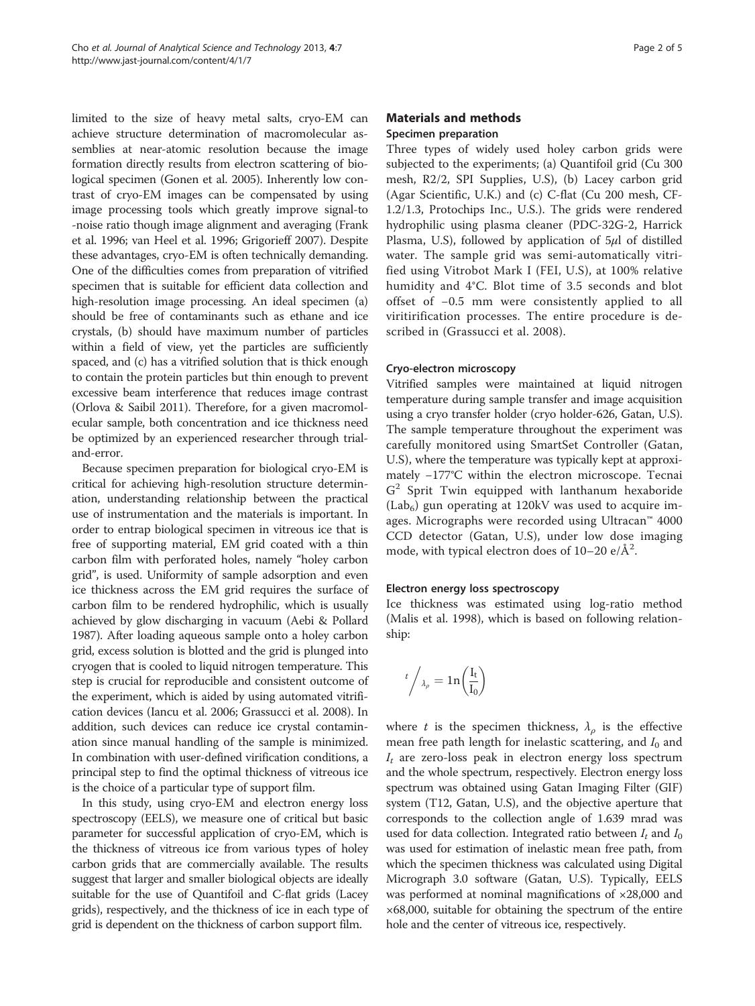limited to the size of heavy metal salts, cryo-EM can achieve structure determination of macromolecular assemblies at near-atomic resolution because the image formation directly results from electron scattering of biological specimen (Gonen et al. [2005](#page-3-0)). Inherently low contrast of cryo-EM images can be compensated by using image processing tools which greatly improve signal-to -noise ratio though image alignment and averaging (Frank et al. [1996;](#page-3-0) van Heel et al. [1996](#page-3-0); Grigorieff [2007](#page-3-0)). Despite these advantages, cryo-EM is often technically demanding. One of the difficulties comes from preparation of vitrified specimen that is suitable for efficient data collection and high-resolution image processing. An ideal specimen (a) should be free of contaminants such as ethane and ice crystals, (b) should have maximum number of particles within a field of view, yet the particles are sufficiently spaced, and (c) has a vitrified solution that is thick enough to contain the protein particles but thin enough to prevent excessive beam interference that reduces image contrast (Orlova & Saibil [2011](#page-3-0)). Therefore, for a given macromolecular sample, both concentration and ice thickness need be optimized by an experienced researcher through trialand-error.

Because specimen preparation for biological cryo-EM is critical for achieving high-resolution structure determination, understanding relationship between the practical use of instrumentation and the materials is important. In order to entrap biological specimen in vitreous ice that is free of supporting material, EM grid coated with a thin carbon film with perforated holes, namely "holey carbon grid", is used. Uniformity of sample adsorption and even ice thickness across the EM grid requires the surface of carbon film to be rendered hydrophilic, which is usually achieved by glow discharging in vacuum (Aebi & Pollard [1987\)](#page-3-0). After loading aqueous sample onto a holey carbon grid, excess solution is blotted and the grid is plunged into cryogen that is cooled to liquid nitrogen temperature. This step is crucial for reproducible and consistent outcome of the experiment, which is aided by using automated vitrification devices (Iancu et al. [2006;](#page-3-0) Grassucci et al. [2008\)](#page-3-0). In addition, such devices can reduce ice crystal contamination since manual handling of the sample is minimized. In combination with user-defined virification conditions, a principal step to find the optimal thickness of vitreous ice is the choice of a particular type of support film.

In this study, using cryo-EM and electron energy loss spectroscopy (EELS), we measure one of critical but basic parameter for successful application of cryo-EM, which is the thickness of vitreous ice from various types of holey carbon grids that are commercially available. The results suggest that larger and smaller biological objects are ideally suitable for the use of Quantifoil and C-flat grids (Lacey grids), respectively, and the thickness of ice in each type of grid is dependent on the thickness of carbon support film.

# Materials and methods Specimen preparation

Three types of widely used holey carbon grids were subjected to the experiments; (a) Quantifoil grid (Cu 300 mesh, R2/2, SPI Supplies, U.S), (b) Lacey carbon grid (Agar Scientific, U.K.) and (c) C-flat (Cu 200 mesh, CF-1.2/1.3, Protochips Inc., U.S.). The grids were rendered hydrophilic using plasma cleaner (PDC-32G-2, Harrick Plasma, U.S), followed by application of  $5\mu$ l of distilled water. The sample grid was semi-automatically vitrified using Vitrobot Mark I (FEI, U.S), at 100% relative humidity and 4°C. Blot time of 3.5 seconds and blot offset of −0.5 mm were consistently applied to all viritirification processes. The entire procedure is described in (Grassucci et al. [2008\)](#page-3-0).

### Cryo-electron microscopy

Vitrified samples were maintained at liquid nitrogen temperature during sample transfer and image acquisition using a cryo transfer holder (cryo holder-626, Gatan, U.S). The sample temperature throughout the experiment was carefully monitored using SmartSet Controller (Gatan, U.S), where the temperature was typically kept at approximately −177°C within the electron microscope. Tecnai  $G<sup>2</sup>$  Sprit Twin equipped with lanthanum hexaboride  $(Lab<sub>6</sub>)$  gun operating at 120kV was used to acquire images. Micrographs were recorded using Ultracan™ 4000 CCD detector (Gatan, U.S), under low dose imaging mode, with typical electron does of  $10-20$  e/ $\AA^2$ .

## Electron energy loss spectroscopy

Ice thickness was estimated using log-ratio method (Malis et al. [1998](#page-3-0)), which is based on following relationship:

$$
^{t}\bigg /\text{ }_{\lambda_{\rho}}=ln\bigg (\frac{I_{t}}{I_{0}}\bigg )
$$

where t is the specimen thickness,  $\lambda_{\rho}$  is the effective mean free path length for inelastic scattering, and  $I_0$  and  $I_t$  are zero-loss peak in electron energy loss spectrum and the whole spectrum, respectively. Electron energy loss spectrum was obtained using Gatan Imaging Filter (GIF) system (T12, Gatan, U.S), and the objective aperture that corresponds to the collection angle of 1.639 mrad was used for data collection. Integrated ratio between  $I_t$  and  $I_0$ was used for estimation of inelastic mean free path, from which the specimen thickness was calculated using Digital Micrograph 3.0 software (Gatan, U.S). Typically, EELS was performed at nominal magnifications of ×28,000 and ×68,000, suitable for obtaining the spectrum of the entire hole and the center of vitreous ice, respectively.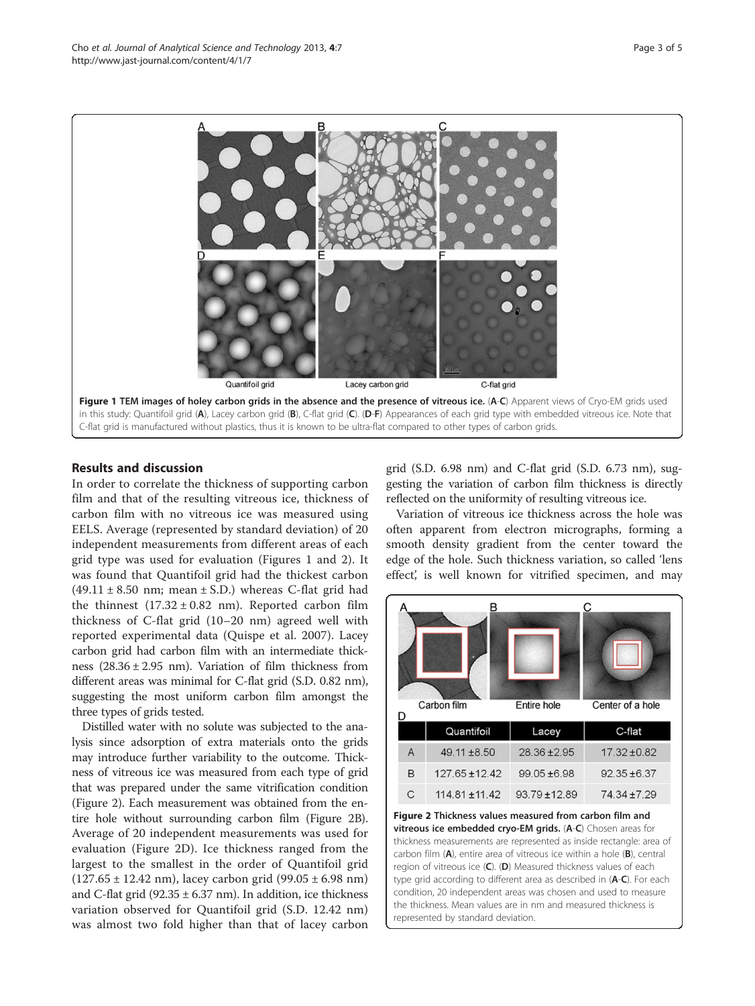Results and discussion In order to correlate the thickness of supporting carbon

Distilled water with no solute was subjected to the analysis since adsorption of extra materials onto the grids may introduce further variability to the outcome. Thickness of vitreous ice was measured from each type of grid that was prepared under the same vitrification condition (Figure 2). Each measurement was obtained from the entire hole without surrounding carbon film (Figure 2B). Average of 20 independent measurements was used for evaluation (Figure 2D). Ice thickness ranged from the largest to the smallest in the order of Quantifoil grid  $(127.65 \pm 12.42 \text{ nm})$ , lacey carbon grid  $(99.05 \pm 6.98 \text{ nm})$ and C-flat grid (92.35  $\pm$  6.37 nm). In addition, ice thickness variation observed for Quantifoil grid (S.D. 12.42 nm) was almost two fold higher than that of lacey carbon

grid (S.D. 6.98 nm) and C-flat grid (S.D. 6.73 nm), suggesting the variation of carbon film thickness is directly reflected on the uniformity of resulting vitreous ice.

Variation of vitreous ice thickness across the hole was often apparent from electron micrographs, forming a smooth density gradient from the center toward the edge of the hole. Such thickness variation, so called 'lens effect', is well known for vitrified specimen, and may

**Entire hole** 

Lacey

28.36 ± 2.95

 $99.05 \pm 6.98$ 

Center of a hole

C-flat

 $17.32 \pm 0.82$ 

 $92.35 \pm 6.37$ 

Carbon film

 $\overline{A}$ 

B

C

Quantifoil

49.11 ±8.50

127.65 ±12.42

<span id="page-2-0"></span>



film and that of the resulting vitreous ice, thickness of carbon film with no vitreous ice was measured using EELS. Average (represented by standard deviation) of 20 independent measurements from different areas of each grid type was used for evaluation (Figures 1 and 2). It was found that Quantifoil grid had the thickest carbon  $(49.11 \pm 8.50 \text{ nm}; \text{ mean } \pm \text{ S.D.})$  whereas C-flat grid had the thinnest  $(17.32 \pm 0.82 \text{ nm})$ . Reported carbon film thickness of C-flat grid (10–20 nm) agreed well with reported experimental data (Quispe et al. [2007](#page-3-0)). Lacey carbon grid had carbon film with an intermediate thickness (28.36 ± 2.95 nm). Variation of film thickness from different areas was minimal for C-flat grid (S.D. 0.82 nm), suggesting the most uniform carbon film amongst the three types of grids tested.

> $114.81 \pm 11.42$ 93.79±12.89 74.34 ±7.29 Figure 2 Thickness values measured from carbon film and vitreous ice embedded cryo-EM grids. (A-C) Chosen areas for thickness measurements are represented as inside rectangle: area of carbon film (A), entire area of vitreous ice within a hole (B), central region of vitreous ice (C). (D) Measured thickness values of each type grid according to different area as described in (A-C). For each condition, 20 independent areas was chosen and used to measure the thickness. Mean values are in nm and measured thickness is represented by standard deviation.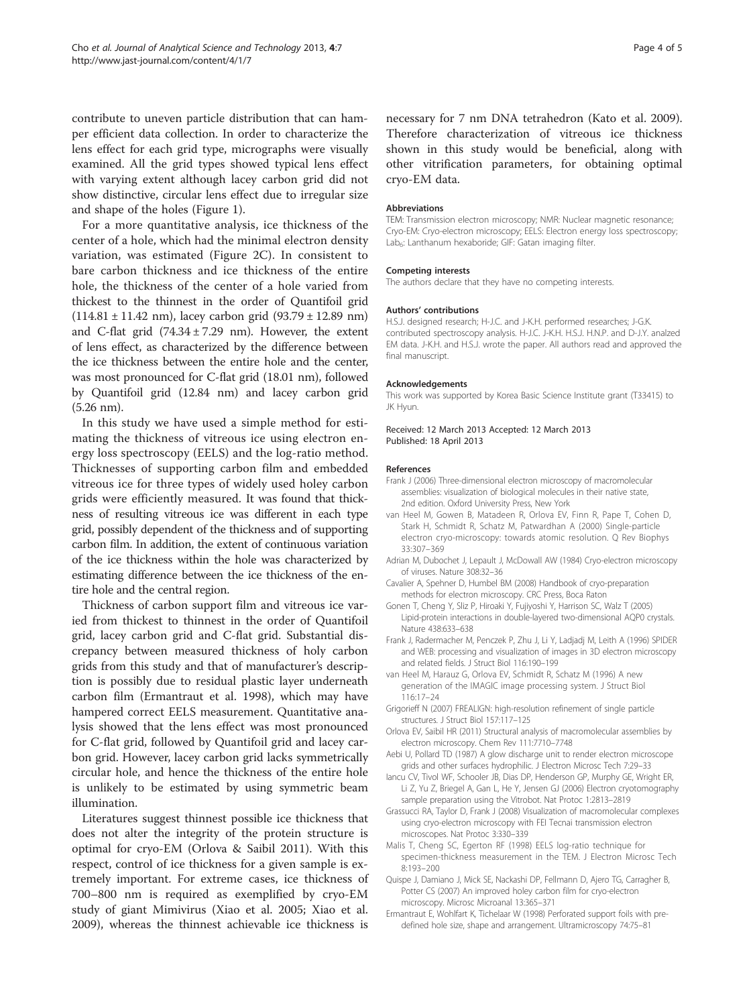<span id="page-3-0"></span>contribute to uneven particle distribution that can hamper efficient data collection. In order to characterize the lens effect for each grid type, micrographs were visually examined. All the grid types showed typical lens effect with varying extent although lacey carbon grid did not show distinctive, circular lens effect due to irregular size and shape of the holes (Figure [1](#page-2-0)).

For a more quantitative analysis, ice thickness of the center of a hole, which had the minimal electron density variation, was estimated (Figure [2C](#page-2-0)). In consistent to bare carbon thickness and ice thickness of the entire hole, the thickness of the center of a hole varied from thickest to the thinnest in the order of Quantifoil grid  $(114.81 \pm 11.42 \text{ nm})$ , lacey carbon grid  $(93.79 \pm 12.89 \text{ nm})$ and C-flat grid  $(74.34 \pm 7.29 \text{ nm})$ . However, the extent of lens effect, as characterized by the difference between the ice thickness between the entire hole and the center, was most pronounced for C-flat grid (18.01 nm), followed by Quantifoil grid (12.84 nm) and lacey carbon grid (5.26 nm).

In this study we have used a simple method for estimating the thickness of vitreous ice using electron energy loss spectroscopy (EELS) and the log-ratio method. Thicknesses of supporting carbon film and embedded vitreous ice for three types of widely used holey carbon grids were efficiently measured. It was found that thickness of resulting vitreous ice was different in each type grid, possibly dependent of the thickness and of supporting carbon film. In addition, the extent of continuous variation of the ice thickness within the hole was characterized by estimating difference between the ice thickness of the entire hole and the central region.

Thickness of carbon support film and vitreous ice varied from thickest to thinnest in the order of Quantifoil grid, lacey carbon grid and C-flat grid. Substantial discrepancy between measured thickness of holy carbon grids from this study and that of manufacturer's description is possibly due to residual plastic layer underneath carbon film (Ermantraut et al. 1998), which may have hampered correct EELS measurement. Quantitative analysis showed that the lens effect was most pronounced for C-flat grid, followed by Quantifoil grid and lacey carbon grid. However, lacey carbon grid lacks symmetrically circular hole, and hence the thickness of the entire hole is unlikely to be estimated by using symmetric beam illumination.

Literatures suggest thinnest possible ice thickness that does not alter the integrity of the protein structure is optimal for cryo-EM (Orlova & Saibil 2011). With this respect, control of ice thickness for a given sample is extremely important. For extreme cases, ice thickness of 700–800 nm is required as exemplified by cryo-EM study of giant Mimivirus (Xiao et al. [2005](#page-4-0); Xiao et al. [2009](#page-4-0)), whereas the thinnest achievable ice thickness is

necessary for 7 nm DNA tetrahedron (Kato et al. [2009](#page-4-0)). Therefore characterization of vitreous ice thickness shown in this study would be beneficial, along with other vitrification parameters, for obtaining optimal cryo-EM data.

#### Abbreviations

TEM: Transmission electron microscopy; NMR: Nuclear magnetic resonance; Cryo-EM: Cryo-electron microscopy; EELS: Electron energy loss spectroscopy; Lab<sub>6</sub>: Lanthanum hexaboride; GIF: Gatan imaging filter.

#### Competing interests

The authors declare that they have no competing interests.

#### Authors' contributions

H.S.J. designed research; H-J.C. and J-K.H. performed researches; J-G.K. contributed spectroscopy analysis. H-J.C. J-K.H. H.S.J. H.N.P. and D-J.Y. analzed EM data. J-K.H. and H.S.J. wrote the paper. All authors read and approved the final manuscript.

#### Acknowledgements

This work was supported by Korea Basic Science Institute grant (T33415) to JK Hyun.

#### Received: 12 March 2013 Accepted: 12 March 2013 Published: 18 April 2013

#### References

- Frank J (2006) Three-dimensional electron microscopy of macromolecular assemblies: visualization of biological molecules in their native state, 2nd edition. Oxford University Press, New York
- van Heel M, Gowen B, Matadeen R, Orlova EV, Finn R, Pape T, Cohen D, Stark H, Schmidt R, Schatz M, Patwardhan A (2000) Single-particle electron cryo-microscopy: towards atomic resolution. Q Rev Biophys 33:307–369
- Adrian M, Dubochet J, Lepault J, McDowall AW (1984) Cryo-electron microscopy of viruses. Nature 308:32–36
- Cavalier A, Spehner D, Humbel BM (2008) Handbook of cryo-preparation methods for electron microscopy. CRC Press, Boca Raton
- Gonen T, Cheng Y, Sliz P, Hiroaki Y, Fujiyoshi Y, Harrison SC, Walz T (2005) Lipid-protein interactions in double-layered two-dimensional AQP0 crystals. Nature 438:633–638
- Frank J, Radermacher M, Penczek P, Zhu J, Li Y, Ladjadj M, Leith A (1996) SPIDER and WEB: processing and visualization of images in 3D electron microscopy and related fields. J Struct Biol 116:190–199
- van Heel M, Harauz G, Orlova EV, Schmidt R, Schatz M (1996) A new generation of the IMAGIC image processing system. J Struct Biol 116:17–24
- Grigorieff N (2007) FREALIGN: high-resolution refinement of single particle structures. J Struct Biol 157:117–125
- Orlova EV, Saibil HR (2011) Structural analysis of macromolecular assemblies by electron microscopy. Chem Rev 111:7710–7748
- Aebi U, Pollard TD (1987) A glow discharge unit to render electron microscope grids and other surfaces hydrophilic. J Electron Microsc Tech 7:29–33
- Iancu CV, Tivol WF, Schooler JB, Dias DP, Henderson GP, Murphy GE, Wright ER, Li Z, Yu Z, Briegel A, Gan L, He Y, Jensen GJ (2006) Electron cryotomography sample preparation using the Vitrobot. Nat Protoc 1:2813–2819
- Grassucci RA, Taylor D, Frank J (2008) Visualization of macromolecular complexes using cryo-electron microscopy with FEI Tecnai transmission electron microscopes. Nat Protoc 3:330–339
- Malis T, Cheng SC, Egerton RF (1998) EELS log-ratio technique for specimen-thickness measurement in the TEM. J Electron Microsc Tech 8:193–200
- Quispe J, Damiano J, Mick SE, Nackashi DP, Fellmann D, Ajero TG, Carragher B, Potter CS (2007) An improved holey carbon film for cryo-electron microscopy. Microsc Microanal 13:365–371
- Ermantraut E, Wohlfart K, Tichelaar W (1998) Perforated support foils with predefined hole size, shape and arrangement. Ultramicroscopy 74:75–81